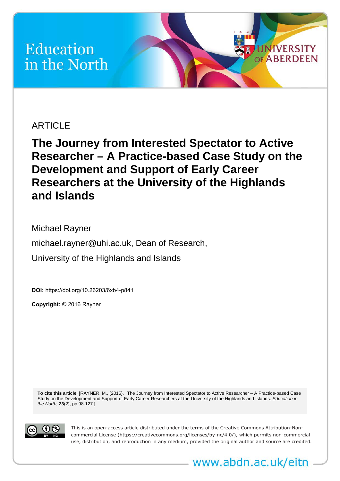# Education in the North

# **ARTICLE**

**The Journey from Interested Spectator to Active Researcher – A Practice-based Case Study on the Development and Support of Early Career Researchers at the University of the Highlands and Islands** 

**UNIVERSITY** 

Michael Rayner michael.rayner@uhi.ac.uk, Dean of Research, University of the Highlands and Islands

**DOI:**<https://doi.org/10.26203/6xb4-p841>

**Copyright:** © 2016 Rayner

**To cite this article**: [RAYNER, M., (2016). The Journey from Interested Spectator to Active Researcher – A Practice-based Case Study on the Development and Support of Early Career Researchers at the University of the Highlands and Islands. *Education in the North,* **23**(2), pp.98-127.]



This is an open-access article distributed under the terms of the Creative Commons Attribution-Noncommercial License (https://creativecommons.org/licenses/by-nc/4.0/), which permits non-commercial use, distribution, and reproduction in any medium, provided the original author and source are credited.

www.abdn.ac.uk/eitn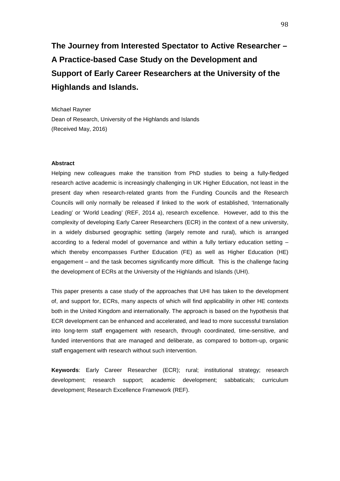# **The Journey from Interested Spectator to Active Researcher – A Practice-based Case Study on the Development and Support of Early Career Researchers at the University of the Highlands and Islands.**

Michael Rayner Dean of Research, University of the Highlands and Islands (Received May, 2016)

#### **Abstract**

Helping new colleagues make the transition from PhD studies to being a fully-fledged research active academic is increasingly challenging in UK Higher Education, not least in the present day when research-related grants from the Funding Councils and the Research Councils will only normally be released if linked to the work of established, 'Internationally Leading' or 'World Leading' (REF, 2014 a), research excellence. However, add to this the complexity of developing Early Career Researchers (ECR) in the context of a new university, in a widely disbursed geographic setting (largely remote and rural), which is arranged according to a federal model of governance and within a fully tertiary education setting – which thereby encompasses Further Education (FE) as well as Higher Education (HE) engagement – and the task becomes significantly more difficult. This is the challenge facing the development of ECRs at the University of the Highlands and Islands (UHI).

This paper presents a case study of the approaches that UHI has taken to the development of, and support for, ECRs, many aspects of which will find applicability in other HE contexts both in the United Kingdom and internationally. The approach is based on the hypothesis that ECR development can be enhanced and accelerated, and lead to more successful translation into long-term staff engagement with research, through coordinated, time-sensitive, and funded interventions that are managed and deliberate, as compared to bottom-up, organic staff engagement with research without such intervention.

**Keywords**: Early Career Researcher (ECR); rural; institutional strategy; research development; research support; academic development; sabbaticals; curriculum development; Research Excellence Framework (REF).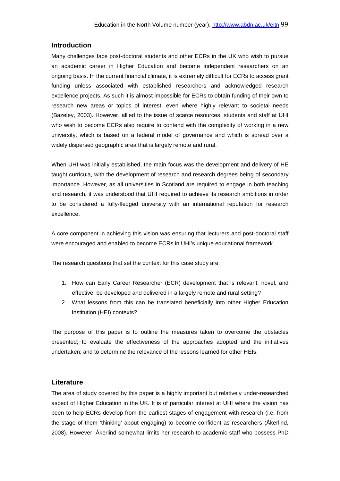# **Introduction**

Many challenges face post-doctoral students and other ECRs in the UK who wish to pursue an academic career in Higher Education and become independent researchers on an ongoing basis. In the current financial climate, it is extremely difficult for ECRs to access grant funding unless associated with established researchers and acknowledged research excellence projects. As such it is almost impossible for ECRs to obtain funding of their own to research new areas or topics of interest, even where highly relevant to societal needs (Bazeley, 2003). However, allied to the issue of scarce resources, students and staff at UHI who wish to become ECRs also require to contend with the complexity of working in a new university, which is based on a federal model of governance and which is spread over a widely dispersed geographic area that is largely remote and rural.

When UHI was initially established, the main focus was the development and delivery of HE taught curricula, with the development of research and research degrees being of secondary importance. However, as all universities in Scotland are required to engage in both teaching and research, it was understood that UHI required to achieve its research ambitions in order to be considered a fully-fledged university with an international reputation for research excellence.

A core component in achieving this vision was ensuring that lecturers and post-doctoral staff were encouraged and enabled to become ECRs in UHI's unique educational framework.

The research questions that set the context for this case study are:

- 1. How can Early Career Researcher (ECR) development that is relevant, novel, and effective, be developed and delivered in a largely remote and rural setting?
- 2. What lessons from this can be translated beneficially into other Higher Education Institution (HEI) contexts?

The purpose of this paper is to outline the measures taken to overcome the obstacles presented; to evaluate the effectiveness of the approaches adopted and the initiatives undertaken; and to determine the relevance of the lessons learned for other HEIs.

# **Literature**

The area of study covered by this paper is a highly important but relatively under-researched aspect of Higher Education in the UK. It is of particular interest at UHI where the vision has been to help ECRs develop from the earliest stages of engagement with research (i.e. from the stage of them 'thinking' about engaging) to become confident as researchers [\(Åkerlind,](https://www.researchgate.net/profile/Gerlese_Akerlind) 2008). However, [Åkerlind](https://www.researchgate.net/profile/Gerlese_Akerlind) somewhat limits her research to academic staff who possess PhD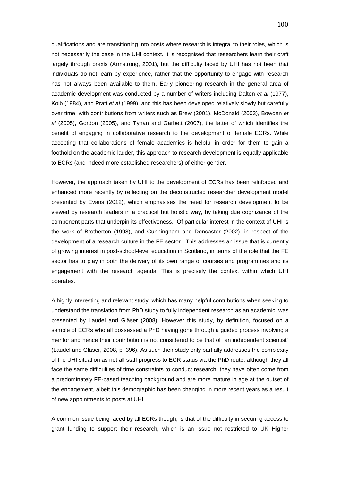qualifications and are transitioning into posts where research is integral to their roles, which is not necessarily the case in the UHI context. It is recognised that researchers learn their craft largely through praxis (Armstrong, 2001), but the difficulty faced by UHI has not been that individuals do not learn by experience, rather that the opportunity to engage with research has not always been available to them. Early pioneering research in the general area of academic development was conducted by a number of writers including Dalton *et al* (1977), Kolb (1984), and Pratt *et al* (1999), and this has been developed relatively slowly but carefully over time, with contributions from writers such as Brew (2001), McDonald (2003), Bowden *et al* (2005), Gordon (2005), and Tynan and Garbett (2007), the latter of which identifies the benefit of engaging in collaborative research to the development of female ECRs. While accepting that collaborations of female academics is helpful in order for them to gain a foothold on the academic ladder, this approach to research development is equally applicable to ECRs (and indeed more established researchers) of either gender.

However, the approach taken by UHI to the development of ECRs has been reinforced and enhanced more recently by reflecting on the deconstructed researcher development model presented by Evans (2012), which emphasises the need for research development to be viewed by research leaders in a practical but holistic way, by taking due cognizance of the component parts that underpin its effectiveness. Of particular interest in the context of UHI is the work of Brotherton (1998), and Cunningham and Doncaster (2002), in respect of the development of a research culture in the FE sector. This addresses an issue that is currently of growing interest in post-school-level education in Scotland, in terms of the role that the FE sector has to play in both the delivery of its own range of courses and programmes and its engagement with the research agenda. This is precisely the context within which UHI operates.

A highly interesting and relevant study, which has many helpful contributions when seeking to understand the translation from PhD study to fully independent research as an academic, was presented by Laudel and Gläser (2008). However this study, by definition, focused on a sample of ECRs who all possessed a PhD having gone through a guided process involving a mentor and hence their contribution is not considered to be that of "an independent scientist" (Laudel and Gläser, 2008, p. 396). As such their study only partially addresses the complexity of the UHI situation as not all staff progress to ECR status via the PhD route, although they all face the same difficulties of time constraints to conduct research, they have often come from a predominately FE-based teaching background and are more mature in age at the outset of the engagement, albeit this demographic has been changing in more recent years as a result of new appointments to posts at UHI.

A common issue being faced by all ECRs though, is that of the difficulty in securing access to grant funding to support their research, which is an issue not restricted to UK Higher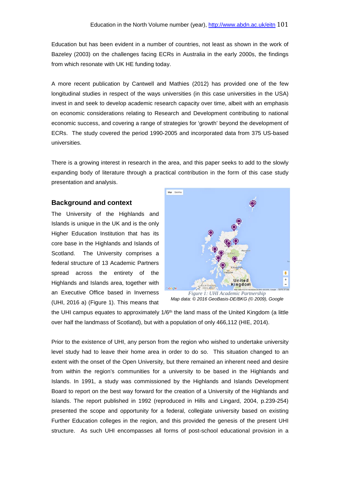Education but has been evident in a number of countries, not least as shown in the work of Bazeley (2003) on the challenges facing ECRs in Australia in the early 2000s, the findings from which resonate with UK HE funding today.

A more recent publication by Cantwell and Mathies (2012) has provided one of the few longitudinal studies in respect of the ways universities (in this case universities in the USA) invest in and seek to develop academic research capacity over time, albeit with an emphasis on economic considerations relating to Research and Development contributing to national economic success, and covering a range of strategies for 'growth' beyond the development of ECRs. The study covered the period 1990-2005 and incorporated data from 375 US-based universities.

There is a growing interest in research in the area, and this paper seeks to add to the slowly expanding body of literature through a practical contribution in the form of this case study presentation and analysis.

# **Background and context**

The University of the Highlands and Islands is unique in the UK and is the only Higher Education Institution that has its core base in the Highlands and Islands of Scotland. The University comprises a federal structure of 13 Academic Partners spread across the entirety of the Highlands and Islands area, together with an Executive Office based in Inverness (UHI, 2016 a) (Figure 1). This means that



*Figure 1: UHI Academic Partnership Map data: © 2016 GeoBasis-DE/BKG (© 2009), Google*

the UHI campus equates to approximately  $1/6<sup>th</sup>$  the land mass of the United Kingdom (a little over half the landmass of Scotland), but with a population of only 466,112 (HIE, 2014).

Prior to the existence of UHI, any person from the region who wished to undertake university level study had to leave their home area in order to do so. This situation changed to an extent with the onset of the Open University, but there remained an inherent need and desire from within the region's communities for a university to be based in the Highlands and Islands. In 1991, a study was commissioned by the Highlands and Islands Development Board to report on the best way forward for the creation of a University of the Highlands and Islands. The report published in 1992 (reproduced in Hills and Lingard, 2004, p.239-254) presented the scope and opportunity for a federal, collegiate university based on existing Further Education colleges in the region, and this provided the genesis of the present UHI structure. As such UHI encompasses all forms of post-school educational provision in a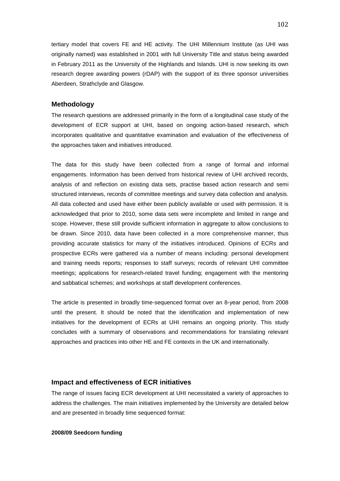tertiary model that covers FE and HE activity. The UHI Millennium Institute (as UHI was originally named) was established in 2001 with full University Title and status being awarded in February 2011 as the University of the Highlands and Islands. UHI is now seeking its own research degree awarding powers (rDAP) with the support of its three sponsor universities Aberdeen, Strathclyde and Glasgow.

# **Methodology**

The research questions are addressed primarily in the form of a longitudinal case study of the development of ECR support at UHI, based on ongoing action-based research, which incorporates qualitative and quantitative examination and evaluation of the effectiveness of the approaches taken and initiatives introduced.

The data for this study have been collected from a range of formal and informal engagements. Information has been derived from historical review of UHI archived records, analysis of and reflection on existing data sets, practise based action research and semi structured interviews, records of committee meetings and survey data collection and analysis. All data collected and used have either been publicly available or used with permission. It is acknowledged that prior to 2010, some data sets were incomplete and limited in range and scope. However, these still provide sufficient information in aggregate to allow conclusions to be drawn. Since 2010, data have been collected in a more comprehensive manner, thus providing accurate statistics for many of the initiatives introduced. Opinions of ECRs and prospective ECRs were gathered via a number of means including: personal development and training needs reports; responses to staff surveys; records of relevant UHI committee meetings; applications for research-related travel funding; engagement with the mentoring and sabbatical schemes; and workshops at staff development conferences.

The article is presented in broadly time-sequenced format over an 8-year period, from 2008 until the present. It should be noted that the identification and implementation of new initiatives for the development of ECRs at UHI remains an ongoing priority. This study concludes with a summary of observations and recommendations for translating relevant approaches and practices into other HE and FE contexts in the UK and internationally.

# **Impact and effectiveness of ECR initiatives**

The range of issues facing ECR development at UHI necessitated a variety of approaches to address the challenges. The main initiatives implemented by the University are detailed below and are presented in broadly time sequenced format:

#### **2008/09 Seedcorn funding**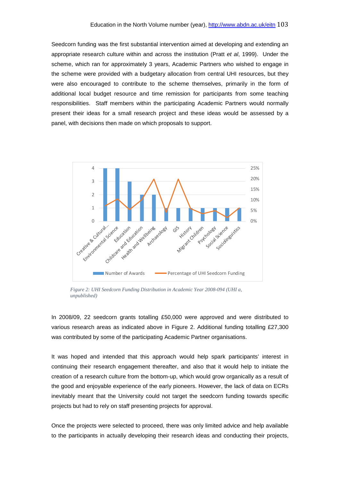Seedcorn funding was the first substantial intervention aimed at developing and extending an appropriate research culture within and across the institution (Pratt *et al*, 1999). Under the scheme, which ran for approximately 3 years, Academic Partners who wished to engage in the scheme were provided with a budgetary allocation from central UHI resources, but they were also encouraged to contribute to the scheme themselves, primarily in the form of additional local budget resource and time remission for participants from some teaching responsibilities. Staff members within the participating Academic Partners would normally present their ideas for a small research project and these ideas would be assessed by a panel, with decisions then made on which proposals to support.



*Figure 2: UHI Seedcorn Funding Distribution in Academic Year 2008-094 (UHI a, unpublished)*

In 2008/09, 22 seedcorn grants totalling £50,000 were approved and were distributed to various research areas as indicated above in Figure 2. Additional funding totalling £27,300 was contributed by some of the participating Academic Partner organisations.

It was hoped and intended that this approach would help spark participants' interest in continuing their research engagement thereafter, and also that it would help to initiate the creation of a research culture from the bottom-up, which would grow organically as a result of the good and enjoyable experience of the early pioneers. However, the lack of data on ECRs inevitably meant that the University could not target the seedcorn funding towards specific projects but had to rely on staff presenting projects for approval.

Once the projects were selected to proceed, there was only limited advice and help available to the participants in actually developing their research ideas and conducting their projects,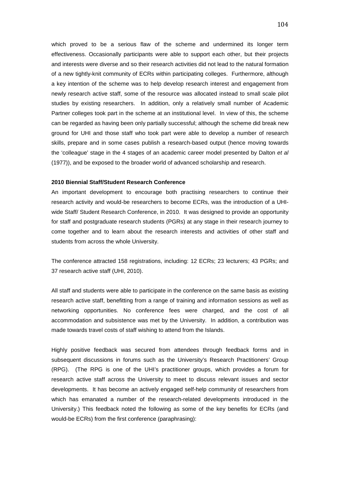which proved to be a serious flaw of the scheme and undermined its longer term effectiveness. Occasionally participants were able to support each other, but their projects and interests were diverse and so their research activities did not lead to the natural formation of a new tightly-knit community of ECRs within participating colleges. Furthermore, although a key intention of the scheme was to help develop research interest and engagement from newly research active staff, some of the resource was allocated instead to small scale pilot studies by existing researchers. In addition, only a relatively small number of Academic Partner colleges took part in the scheme at an institutional level. In view of this, the scheme can be regarded as having been only partially successful; although the scheme did break new ground for UHI and those staff who took part were able to develop a number of research skills, prepare and in some cases publish a research-based output (hence moving towards the 'colleague' stage in the 4 stages of an academic career model presented by Dalton *et al* (1977)), and be exposed to the broader world of advanced scholarship and research.

#### **2010 Biennial Staff/Student Research Conference**

An important development to encourage both practising researchers to continue their research activity and would-be researchers to become ECRs, was the introduction of a UHIwide Staff/ Student Research Conference, in 2010. It was designed to provide an opportunity for staff and postgraduate research students (PGRs) at any stage in their research journey to come together and to learn about the research interests and activities of other staff and students from across the whole University.

The conference attracted 158 registrations, including: 12 ECRs; 23 lecturers; 43 PGRs; and 37 research active staff (UHI, 2010).

All staff and students were able to participate in the conference on the same basis as existing research active staff, benefitting from a range of training and information sessions as well as networking opportunities. No conference fees were charged, and the cost of all accommodation and subsistence was met by the University. In addition, a contribution was made towards travel costs of staff wishing to attend from the Islands.

Highly positive feedback was secured from attendees through feedback forms and in subsequent discussions in forums such as the University's Research Practitioners' Group (RPG). (The RPG is one of the UHI's practitioner groups, which provides a forum for research active staff across the University to meet to discuss relevant issues and sector developments. It has become an actively engaged self-help community of researchers from which has emanated a number of the research-related developments introduced in the University.) This feedback noted the following as some of the key benefits for ECRs (and would-be ECRs) from the first conference (paraphrasing):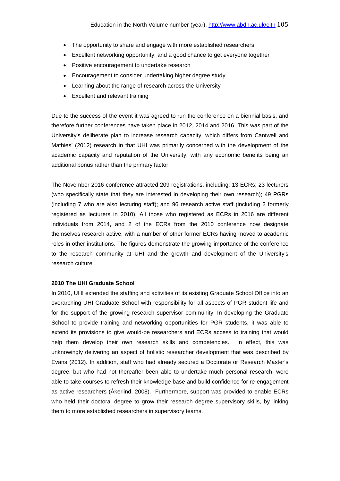- The opportunity to share and engage with more established researchers
- Excellent networking opportunity, and a good chance to get everyone together
- Positive encouragement to undertake research
- Encouragement to consider undertaking higher degree study
- Learning about the range of research across the University
- Excellent and relevant training

Due to the success of the event it was agreed to run the conference on a biennial basis, and therefore further conferences have taken place in 2012, 2014 and 2016. This was part of the University's deliberate plan to increase research capacity, which differs from Cantwell and Mathies' (2012) research in that UHI was primarily concerned with the development of the academic capacity and reputation of the University, with any economic benefits being an additional bonus rather than the primary factor.

The November 2016 conference attracted 209 registrations, including: 13 ECRs; 23 lecturers (who specifically state that they are interested in developing their own research); 49 PGRs (including 7 who are also lecturing staff); and 96 research active staff (including 2 formerly registered as lecturers in 2010). All those who registered as ECRs in 2016 are different individuals from 2014, and 2 of the ECRs from the 2010 conference now designate themselves research active, with a number of other former ECRs having moved to academic roles in other institutions. The figures demonstrate the growing importance of the conference to the research community at UHI and the growth and development of the University's research culture.

#### **2010 The UHI Graduate School**

In 2010, UHI extended the staffing and activities of its existing Graduate School Office into an overarching UHI Graduate School with responsibility for all aspects of PGR student life and for the support of the growing research supervisor community. In developing the Graduate School to provide training and networking opportunities for PGR students, it was able to extend its provisions to give would-be researchers and ECRs access to training that would help them develop their own research skills and competencies. In effect, this was unknowingly delivering an aspect of holistic researcher development that was described by Evans (2012). In addition, staff who had already secured a Doctorate or Research Master's degree, but who had not thereafter been able to undertake much personal research, were able to take courses to refresh their knowledge base and build confidence for re-engagement as active researchers [\(Åkerlind,](https://www.researchgate.net/profile/Gerlese_Akerlind) 2008). Furthermore, support was provided to enable ECRs who held their doctoral degree to grow their research degree supervisory skills, by linking them to more established researchers in supervisory teams.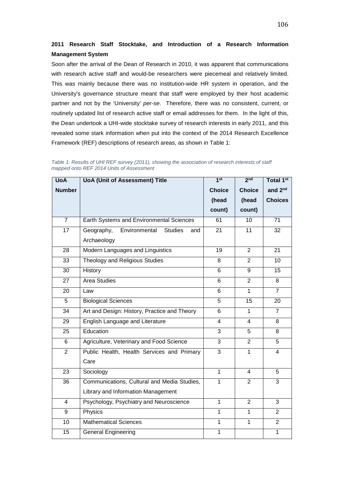# **2011 Research Staff Stocktake, and Introduction of a Research Information Management System**

Soon after the arrival of the Dean of Research in 2010, it was apparent that communications with research active staff and would-be researchers were piecemeal and relatively limited. This was mainly because there was no institution-wide HR system in operation, and the University's governance structure meant that staff were employed by their host academic partner and not by the 'University' *per-se*. Therefore, there was no consistent, current, or routinely updated list of research active staff or email addresses for them. In the light of this, the Dean undertook a UHI-wide stocktake survey of research interests in early 2011, and this revealed some stark information when put into the context of the 2014 Research Excellence Framework (REF) descriptions of research areas, as shown in Table 1:

| <b>UoA</b>     | <b>UoA (Unit of Assessment) Title</b>                | 1 <sup>st</sup> | 2 <sub>nd</sub> | Total 1st           |
|----------------|------------------------------------------------------|-----------------|-----------------|---------------------|
| <b>Number</b>  |                                                      | <b>Choice</b>   | <b>Choice</b>   | and 2 <sup>nd</sup> |
|                |                                                      | (head           | (head           | <b>Choices</b>      |
|                |                                                      | count)          | count)          |                     |
| $\overline{7}$ | Earth Systems and Environmental Sciences             | 61              | 10              | 71                  |
| 17             | Geography,<br>Environmental<br><b>Studies</b><br>and | 21              | 11              | 32                  |
|                | Archaeology                                          |                 |                 |                     |
| 28             | Modern Languages and Linguistics                     | 19              | $\overline{2}$  | 21                  |
| 33             | Theology and Religious Studies                       | 8               | $\overline{2}$  | 10                  |
| 30             | History                                              | 6               | 9               | 15                  |
| 27             | <b>Area Studies</b>                                  | 6               | $\overline{2}$  | 8                   |
| 20             | Law                                                  | 6               | $\mathbf{1}$    | $\overline{7}$      |
| 5              | <b>Biological Sciences</b>                           | 5               | 15              | 20                  |
| 34             | Art and Design: History, Practice and Theory         | 6               | $\overline{1}$  | $\overline{7}$      |
| 29             | English Language and Literature                      | $\overline{4}$  | $\overline{4}$  | 8                   |
| 25             | Education                                            | $\overline{3}$  | $\overline{5}$  | 8                   |
| 6              | Agriculture, Veterinary and Food Science             | 3               | $\overline{2}$  | 5                   |
| $\overline{2}$ | Public Health, Health Services and Primary           | 3               | 1               | 4                   |
|                | Care                                                 |                 |                 |                     |
| 23             | Sociology                                            | $\mathbf{1}$    | $\overline{4}$  | 5                   |
| 36             | Communications, Cultural and Media Studies,          | $\mathbf{1}$    | $\overline{2}$  | $\overline{3}$      |
|                | Library and Information Management                   |                 |                 |                     |
| $\overline{4}$ | Psychology, Psychiatry and Neuroscience              | $\mathbf{1}$    | $\overline{2}$  | 3                   |
| 9              | Physics                                              | $\mathbf{1}$    | $\mathbf{1}$    | $\overline{2}$      |
| 10             | <b>Mathematical Sciences</b>                         | $\mathbf{1}$    | $\overline{1}$  | $\overline{2}$      |
| 15             | <b>General Engineering</b>                           | $\overline{1}$  |                 | $\mathbf{1}$        |

*Table 1: Results of UHI REF survey (2011), showing the association of research interests of staff mapped onto REF 2014 Units of Assessment*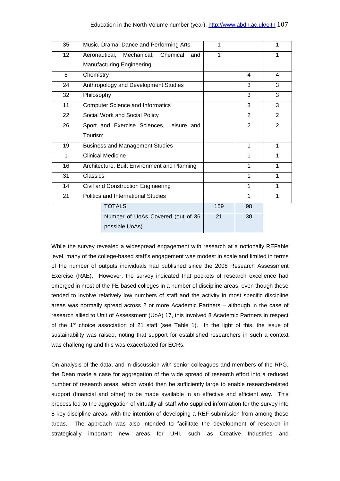| 35 | Music, Drama, Dance and Performing Arts      | 1   |    | 1 |
|----|----------------------------------------------|-----|----|---|
| 12 | Aeronautical, Mechanical, Chemical<br>and    | 1   |    | 1 |
|    | <b>Manufacturing Engineering</b>             |     |    |   |
| 8  | Chemistry                                    |     | 4  | 4 |
| 24 | Anthropology and Development Studies         |     | 3  | 3 |
| 32 | Philosophy                                   |     | 3  | 3 |
| 11 | <b>Computer Science and Informatics</b>      |     | 3  | 3 |
| 22 | Social Work and Social Policy                |     | 2  | 2 |
| 26 | Sport and Exercise Sciences, Leisure and     |     | 2  | 2 |
|    | Tourism                                      |     |    |   |
| 19 | <b>Business and Management Studies</b>       |     | 1  | 1 |
| 1  | <b>Clinical Medicine</b>                     |     | 1  | 1 |
| 16 | Architecture, Built Environment and Planning |     | 1  | 1 |
| 31 | Classics                                     |     | 1  | 1 |
| 14 | Civil and Construction Engineering           |     | 1  | 1 |
| 21 | <b>Politics and International Studies</b>    |     | 1  | 1 |
|    | <b>TOTALS</b>                                | 159 | 98 |   |
|    | Number of UoAs Covered (out of 36            | 21  | 30 |   |
|    | possible UoAs)                               |     |    |   |

While the survey revealed a widespread engagement with research at a notionally REFable level, many of the college-based staff's engagement was modest in scale and limited in terms of the number of outputs individuals had published since the 2008 Research Assessment Exercise (RAE). However, the survey indicated that pockets of research excellence had emerged in most of the FE-based colleges in a number of discipline areas, even though these tended to involve relatively low numbers of staff and the activity in most specific discipline areas was normally spread across 2 or more Academic Partners – although in the case of research allied to Unit of Assessment (UoA) 17, this involved 8 Academic Partners in respect of the  $1<sup>st</sup>$  choice association of 21 staff (see Table 1). In the light of this, the issue of sustainability was raised, noting that support for established researchers in such a context was challenging and this was exacerbated for ECRs.

On analysis of the data, and in discussion with senior colleagues and members of the RPG, the Dean made a case for aggregation of the wide spread of research effort into a reduced number of research areas, which would then be sufficiently large to enable research-related support (financial and other) to be made available in an effective and efficient way. This process led to the aggregation of virtually all staff who supplied information for the survey into 8 key discipline areas, with the intention of developing a REF submission from among those areas. The approach was also intended to facilitate the development of research in strategically important new areas for UHI, such as Creative Industries and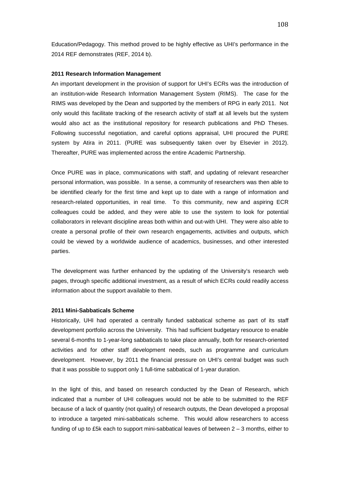Education/Pedagogy. This method proved to be highly effective as UHI's performance in the 2014 REF demonstrates (REF, 2014 b).

#### **2011 Research Information Management**

An important development in the provision of support for UHI's ECRs was the introduction of an institution-wide Research Information Management System (RIMS). The case for the RIMS was developed by the Dean and supported by the members of RPG in early 2011. Not only would this facilitate tracking of the research activity of staff at all levels but the system would also act as the institutional repository for research publications and PhD Theses. Following successful negotiation, and careful options appraisal, UHI procured the PURE system by Atira in 2011. (PURE was subsequently taken over by Elsevier in 2012). Thereafter, PURE was implemented across the entire Academic Partnership.

Once PURE was in place, communications with staff, and updating of relevant researcher personal information, was possible. In a sense, a community of researchers was then able to be identified clearly for the first time and kept up to date with a range of information and research-related opportunities, in real time. To this community, new and aspiring ECR colleagues could be added, and they were able to use the system to look for potential collaborators in relevant discipline areas both within and out-with UHI. They were also able to create a personal profile of their own research engagements, activities and outputs, which could be viewed by a worldwide audience of academics, businesses, and other interested parties.

The development was further enhanced by the updating of the University's research web pages, through specific additional investment, as a result of which ECRs could readily access information about the support available to them.

#### **2011 Mini-Sabbaticals Scheme**

Historically, UHI had operated a centrally funded sabbatical scheme as part of its staff development portfolio across the University. This had sufficient budgetary resource to enable several 6-months to 1-year-long sabbaticals to take place annually, both for research-oriented activities and for other staff development needs, such as programme and curriculum development. However, by 2011 the financial pressure on UHI's central budget was such that it was possible to support only 1 full-time sabbatical of 1-year duration.

In the light of this, and based on research conducted by the Dean of Research, which indicated that a number of UHI colleagues would not be able to be submitted to the REF because of a lack of quantity (not quality) of research outputs, the Dean developed a proposal to introduce a targeted mini-sabbaticals scheme. This would allow researchers to access funding of up to £5k each to support mini-sabbatical leaves of between 2 – 3 months, either to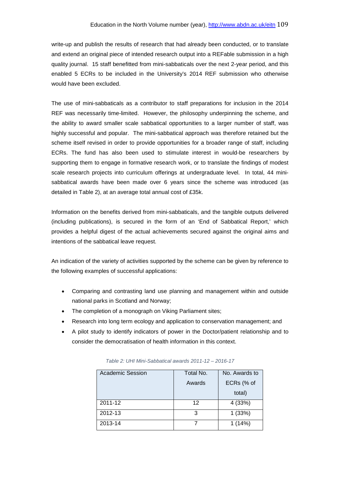write-up and publish the results of research that had already been conducted, or to translate and extend an original piece of intended research output into a REFable submission in a high quality journal. 15 staff benefitted from mini-sabbaticals over the next 2-year period, and this enabled 5 ECRs to be included in the University's 2014 REF submission who otherwise would have been excluded.

The use of mini-sabbaticals as a contributor to staff preparations for inclusion in the 2014 REF was necessarily time-limited. However, the philosophy underpinning the scheme, and the ability to award smaller scale sabbatical opportunities to a larger number of staff, was highly successful and popular. The mini-sabbatical approach was therefore retained but the scheme itself revised in order to provide opportunities for a broader range of staff, including ECRs. The fund has also been used to stimulate interest in would-be researchers by supporting them to engage in formative research work, or to translate the findings of modest scale research projects into curriculum offerings at undergraduate level. In total, 44 minisabbatical awards have been made over 6 years since the scheme was introduced (as detailed in Table 2), at an average total annual cost of £35k.

Information on the benefits derived from mini-sabbaticals, and the tangible outputs delivered (including publications), is secured in the form of an 'End of Sabbatical Report,' which provides a helpful digest of the actual achievements secured against the original aims and intentions of the sabbatical leave request.

An indication of the variety of activities supported by the scheme can be given by reference to the following examples of successful applications:

- Comparing and contrasting land use planning and management within and outside national parks in Scotland and Norway;
- The completion of a monograph on Viking Parliament sites;
- Research into long term ecology and application to conservation management; and
- A pilot study to identify indicators of power in the Doctor/patient relationship and to consider the democratisation of health information in this context.

| <b>Academic Session</b> | Total No. | No. Awards to |  |  |
|-------------------------|-----------|---------------|--|--|
|                         | Awards    | ECRs (% of    |  |  |
|                         |           | total)        |  |  |
| 2011-12                 | 12        | 4 (33%)       |  |  |
| 2012-13                 | 3         | 1(33%)        |  |  |
| 2013-14                 |           | 1(14%)        |  |  |

*Table 2: UHI Mini-Sabbatical awards 2011-12 – 2016-17*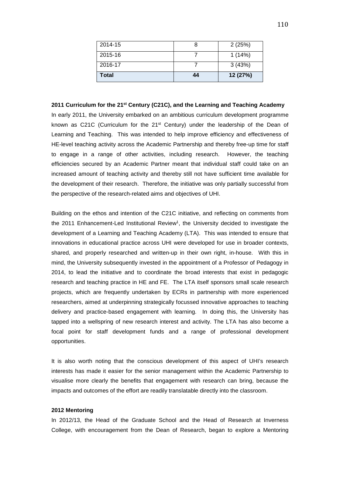| Total   | 44 | 12 (27%) |
|---------|----|----------|
| 2016-17 |    | 3(43%)   |
| 2015-16 |    | 1(14%)   |
| 2014-15 |    | 2(25%)   |

#### **2011 Curriculum for the 21st Century (C21C), and the Learning and Teaching Academy**

In early 2011, the University embarked on an ambitious curriculum development programme known as C21C (Curriculum for the  $21<sup>st</sup>$  Century) under the leadership of the Dean of Learning and Teaching. This was intended to help improve efficiency and effectiveness of HE-level teaching activity across the Academic Partnership and thereby free-up time for staff to engage in a range of other activities, including research. However, the teaching efficiencies secured by an Academic Partner meant that individual staff could take on an increased amount of teaching activity and thereby still not have sufficient time available for the development of their research. Therefore, the initiative was only partially successful from the perspective of the research-related aims and objectives of UHI.

Building on the ethos and intention of the C21C initiative, and reflecting on comments from the 2011 Enhancement-Led Institutional Review<sup>1</sup>, the University decided to investigate the development of a Learning and Teaching Academy (LTA). This was intended to ensure that innovations in educational practice across UHI were developed for use in broader contexts, shared, and properly researched and written-up in their own right, in-house. With this in mind, the University subsequently invested in the appointment of a Professor of Pedagogy in 2014, to lead the initiative and to coordinate the broad interests that exist in pedagogic research and teaching practice in HE and FE. The LTA itself sponsors small scale research projects, which are frequently undertaken by ECRs in partnership with more experienced researchers, aimed at underpinning strategically focussed innovative approaches to teaching delivery and practice-based engagement with learning. In doing this, the University has tapped into a wellspring of new research interest and activity. The LTA has also become a focal point for staff development funds and a range of professional development opportunities.

It is also worth noting that the conscious development of this aspect of UHI's research interests has made it easier for the senior management within the Academic Partnership to visualise more clearly the benefits that engagement with research can bring, because the impacts and outcomes of the effort are readily translatable directly into the classroom.

#### **2012 Mentoring**

In 2012/13, the Head of the Graduate School and the Head of Research at Inverness College, with encouragement from the Dean of Research, began to explore a Mentoring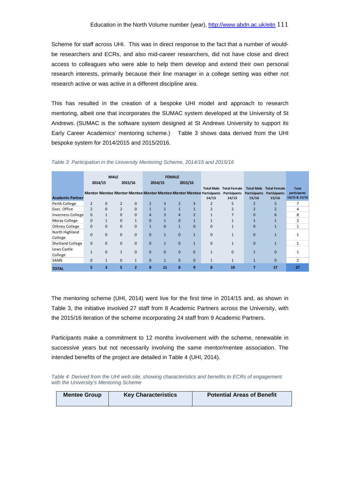Scheme for staff across UHI. This was in direct response to the fact that a number of wouldbe researchers and ECRs, and also mid-career researchers, did not have close and direct access to colleagues who were able to help them develop and extend their own personal research interests, primarily because their line manager in a college setting was either not research active or was active in a different discipline area.

This has resulted in the creation of a bespoke UHI model and approach to research mentoring, albeit one that incorporates the SUMAC system developed at the University of St Andrews. (SUMAC is the software system designed at St Andrews University to support its Early Career Academics' mentoring scheme.) Table 3 shows data derived from the UHI bespoke system for 2014/2015 and 2015/2016.

|                          |                | <b>MALE</b>  |                |                | <b>FEMALE</b>  |              |                |                |                                                                               |                       |                              |                       |                               |
|--------------------------|----------------|--------------|----------------|----------------|----------------|--------------|----------------|----------------|-------------------------------------------------------------------------------|-----------------------|------------------------------|-----------------------|-------------------------------|
|                          |                | 2014/15      |                | 2015/16        |                | 2014/15      |                | 2015/16        |                                                                               |                       |                              |                       |                               |
|                          |                |              |                |                |                |              |                |                | <b>Total Male</b>                                                             | <b>Total Female</b>   | <b>Total Male</b>            | <b>Total Female</b>   | <b>Total</b>                  |
| <b>Academic Partner</b>  |                |              |                |                |                |              |                |                | Mentor Mentee Mentor Mentee Mentor Mentee Mentor Mentee Participants<br>14/15 | Participants<br>14/15 | <b>Participants</b><br>15/16 | Participants<br>15/16 | participants<br>14/15 & 15/16 |
| Perth College            | $\overline{2}$ | 0            | $\overline{2}$ | $\mathbf{0}$   | $\overline{2}$ | 3            |                | 3              | $\overline{2}$                                                                | 5                     |                              | 5                     | 7                             |
| Exec. Office             | $\overline{2}$ | $\mathbf{0}$ | $\overline{2}$ | $\mathbf{0}$   | $\mathbf{1}$   | $\mathbf{1}$ | $\mathbf{1}$   | $\mathbf{1}$   | $\overline{2}$                                                                |                       | 2                            | $\overline{2}$        | 4                             |
| <b>Inverness College</b> | $\Omega$       | $\mathbf{1}$ | $\mathbf{0}$   | $\mathbf{0}$   | $\overline{4}$ | 3            | $\overline{4}$ | $\overline{2}$ | $\mathbf{1}$                                                                  |                       | $\Omega$                     | 6                     | 8                             |
| Moray College            | $\mathbf{0}$   | $\mathbf{1}$ | $\overline{0}$ | $\mathbf{1}$   | $\mathbf{0}$   |              | $\mathbf{0}$   | $\mathbf{1}$   |                                                                               |                       |                              |                       | $\overline{2}$                |
| Orkney College           | $\Omega$       | $\Omega$     | $\mathbf{0}$   | $\mathbf 0$    | $\mathbf{1}$   | $\Omega$     | $\mathbf{1}$   | $\Omega$       | $\mathbf{0}$                                                                  | $\mathbf{1}$          | $\Omega$                     |                       | $\mathbf{1}$                  |
| North Highland           | $\Omega$       | $\Omega$     | $\mathbf{0}$   | $\mathbf{0}$   | $\Omega$       | $\mathbf{1}$ | $\Omega$       | $\mathbf{1}$   | $\mathbf{0}$                                                                  |                       | $\Omega$                     |                       | $\mathbf{1}$                  |
| College                  |                |              |                |                |                |              |                |                |                                                                               |                       |                              |                       |                               |
| <b>Shetland College</b>  | 0              | 0            | $\mathbf{0}$   | $\mathbf{0}$   | $\mathbf{0}$   | $\mathbf{1}$ | $\mathbf{0}$   | $\mathbf{1}$   | $\mathbf{0}$                                                                  | 1                     | $\Omega$                     | $\mathbf{1}$          | $\mathbf{1}$                  |
| Lews Castle              | $\mathbf{1}$   | $\mathbf 0$  | 1              | $\mathbf{0}$   | $\mathbf{0}$   | $\mathbf{0}$ | $\mathbf{0}$   | $\mathbf{0}$   | $\mathbf{1}$                                                                  | $\mathbf 0$           |                              | $\mathbf{0}$          |                               |
| College                  |                |              |                |                |                |              |                |                |                                                                               |                       |                              |                       |                               |
| <b>SAMS</b>              | $\Omega$       |              | $\mathbf{0}$   | $\mathbf{1}$   | $\mathbf{0}$   | $\mathbf{1}$ | $\mathbf{0}$   | $\Omega$       | $\mathbf{1}$                                                                  | $\mathbf{1}$          |                              | $\Omega$              | $\overline{2}$                |
| <b>TOTAL</b>             | 5              | 3            | 5              | $\overline{2}$ | 8              | 11           | 8              | 9              | 8                                                                             | 19                    | $\overline{7}$               | 17                    | 27                            |

*Table 3: Participation in the University Mentoring Scheme, 2014/15 and 2015/16*

The mentoring scheme (UHI, 2014) went live for the first time in 2014/15 and, as shown in Table 3, the initiative involved 27 staff from 8 Academic Partners across the University, with the 2015/16 iteration of the scheme incorporating 24 staff from 9 Academic Partners.

Participants make a commitment to 12 months involvement with the scheme, renewable in successive years but not necessarily involving the same mentor/mentee association. The intended benefits of the project are detailed in Table 4 (UHI, 2014).

*Table 4: Derived from the UHI web site, showing characteristics and benefits to ECRs of engagement with the University's Mentoring Scheme*

| <b>Key Characteristics</b><br><b>Mentee Group</b> | <b>Potential Areas of Benefit</b> |
|---------------------------------------------------|-----------------------------------|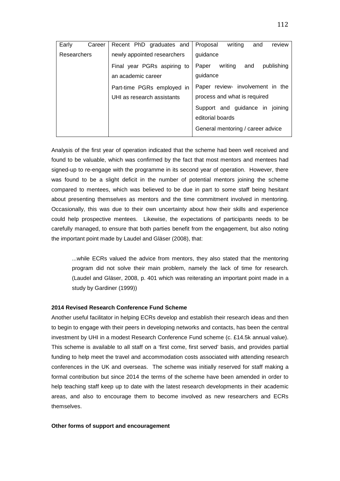|             | Early | Career | writina<br>Recent PhD graduates and<br>Proposal<br>and<br>review     |
|-------------|-------|--------|----------------------------------------------------------------------|
| Researchers |       |        | newly appointed researchers<br>guidance                              |
|             |       |        | writing<br>publishing<br>Paper<br>and<br>Final year PGRs aspiring to |
|             |       |        | guidance<br>an academic career                                       |
|             |       |        | Paper review- involvement in the<br>Part-time PGRs employed in       |
|             |       |        | process and what is required<br>UHI as research assistants           |
|             |       |        | Support and guidance in joining                                      |
|             |       |        | editorial boards                                                     |
|             |       |        | General mentoring / career advice                                    |
|             |       |        |                                                                      |

Analysis of the first year of operation indicated that the scheme had been well received and found to be valuable, which was confirmed by the fact that most mentors and mentees had signed-up to re-engage with the programme in its second year of operation. However, there was found to be a slight deficit in the number of potential mentors joining the scheme compared to mentees, which was believed to be due in part to some staff being hesitant about presenting themselves as mentors and the time commitment involved in mentoring. Occasionally, this was due to their own uncertainty about how their skills and experience could help prospective mentees. Likewise, the expectations of participants needs to be carefully managed, to ensure that both parties benefit from the engagement, but also noting the important point made by Laudel and Gläser (2008), that:

...while ECRs valued the advice from mentors, they also stated that the mentoring program did not solve their main problem, namely the lack of time for research. (Laudel and Gläser, 2008, p. 401 which was reiterating an important point made in a study by Gardiner (1999))

#### **2014 Revised Research Conference Fund Scheme**

Another useful facilitator in helping ECRs develop and establish their research ideas and then to begin to engage with their peers in developing networks and contacts, has been the central investment by UHI in a modest Research Conference Fund scheme (c. £14.5k annual value). This scheme is available to all staff on a 'first come, first served' basis, and provides partial funding to help meet the travel and accommodation costs associated with attending research conferences in the UK and overseas. The scheme was initially reserved for staff making a formal contribution but since 2014 the terms of the scheme have been amended in order to help teaching staff keep up to date with the latest research developments in their academic areas, and also to encourage them to become involved as new researchers and ECRs themselves.

#### **Other forms of support and encouragement**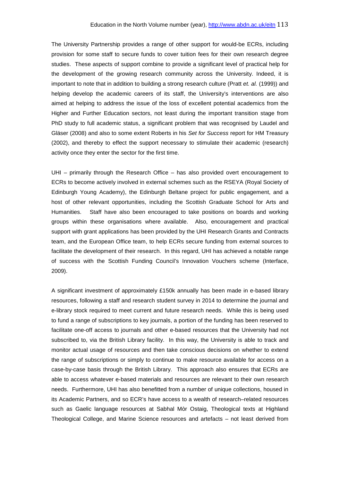The University Partnership provides a range of other support for would-be ECRs, including provision for some staff to secure funds to cover tuition fees for their own research degree studies. These aspects of support combine to provide a significant level of practical help for the development of the growing research community across the University. Indeed, it is important to note that in addition to building a strong research culture (Pratt *et. al.* (1999)) and helping develop the academic careers of its staff, the University's interventions are also aimed at helping to address the issue of the loss of excellent potential academics from the Higher and Further Education sectors, not least during the important transition stage from PhD study to full academic status, a significant problem that was recognised by Laudel and Gläser (2008) and also to some extent Roberts in his *Set for Success* report for HM Treasury (2002), and thereby to effect the support necessary to stimulate their academic (research) activity once they enter the sector for the first time.

UHI – primarily through the Research Office – has also provided overt encouragement to ECRs to become actively involved in external schemes such as the RSEYA (Royal Society of Edinburgh Young Academy), the Edinburgh Beltane project for public engagement, and a host of other relevant opportunities, including the Scottish Graduate School for Arts and Humanities. Staff have also been encouraged to take positions on boards and working groups within these organisations where available. Also, encouragement and practical support with grant applications has been provided by the UHI Research Grants and Contracts team, and the European Office team, to help ECRs secure funding from external sources to facilitate the development of their research. In this regard, UHI has achieved a notable range of success with the Scottish Funding Council's Innovation Vouchers scheme (Interface, 2009).

A significant investment of approximately £150k annually has been made in e-based library resources, following a staff and research student survey in 2014 to determine the journal and e-library stock required to meet current and future research needs. While this is being used to fund a range of subscriptions to key journals, a portion of the funding has been reserved to facilitate one-off access to journals and other e-based resources that the University had not subscribed to, via the British Library facility. In this way, the University is able to track and monitor actual usage of resources and then take conscious decisions on whether to extend the range of subscriptions or simply to continue to make resource available for access on a case-by-case basis through the British Library. This approach also ensures that ECRs are able to access whatever e-based materials and resources are relevant to their own research needs. Furthermore, UHI has also benefitted from a number of unique collections, housed in its Academic Partners, and so ECR's have access to a wealth of research–related resources such as Gaelic language resources at Sabhal Mòr Ostaig, Theological texts at Highland Theological College, and Marine Science resources and artefacts – not least derived from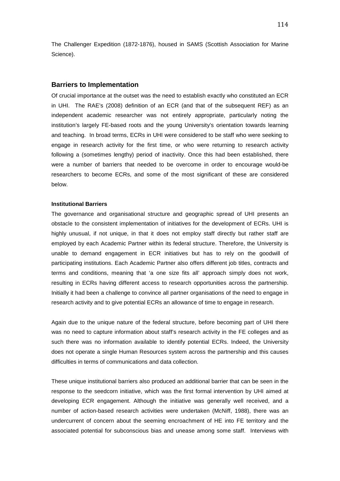The Challenger Expedition (1872-1876), housed in SAMS (Scottish Association for Marine Science).

#### **Barriers to Implementation**

Of crucial importance at the outset was the need to establish exactly who constituted an ECR in UHI. The RAE's (2008) definition of an ECR (and that of the subsequent REF) as an independent academic researcher was not entirely appropriate, particularly noting the institution's largely FE-based roots and the young University's orientation towards learning and teaching. In broad terms, ECRs in UHI were considered to be staff who were seeking to engage in research activity for the first time, or who were returning to research activity following a (sometimes lengthy) period of inactivity. Once this had been established, there were a number of barriers that needed to be overcome in order to encourage would-be researchers to become ECRs, and some of the most significant of these are considered below.

#### **Institutional Barriers**

The governance and organisational structure and geographic spread of UHI presents an obstacle to the consistent implementation of initiatives for the development of ECRs. UHI is highly unusual, if not unique, in that it does not employ staff directly but rather staff are employed by each Academic Partner within its federal structure. Therefore, the University is unable to demand engagement in ECR initiatives but has to rely on the goodwill of participating institutions. Each Academic Partner also offers different job titles, contracts and terms and conditions, meaning that 'a one size fits all' approach simply does not work, resulting in ECRs having different access to research opportunities across the partnership. Initially it had been a challenge to convince all partner organisations of the need to engage in research activity and to give potential ECRs an allowance of time to engage in research.

Again due to the unique nature of the federal structure, before becoming part of UHI there was no need to capture information about staff's research activity in the FE colleges and as such there was no information available to identify potential ECRs. Indeed, the University does not operate a single Human Resources system across the partnership and this causes difficulties in terms of communications and data collection.

These unique institutional barriers also produced an additional barrier that can be seen in the response to the seedcorn initiative, which was the first formal intervention by UHI aimed at developing ECR engagement. Although the initiative was generally well received, and a number of action-based research activities were undertaken (McNiff, 1988), there was an undercurrent of concern about the seeming encroachment of HE into FE territory and the associated potential for subconscious bias and unease among some staff. Interviews with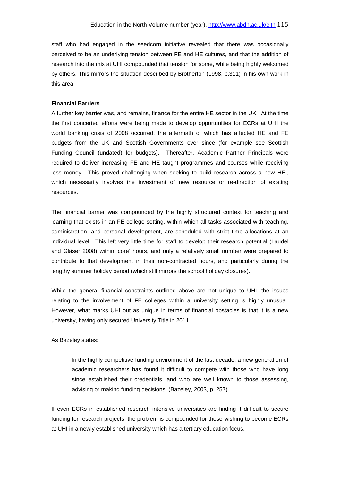staff who had engaged in the seedcorn initiative revealed that there was occasionally perceived to be an underlying tension between FE and HE cultures, and that the addition of research into the mix at UHI compounded that tension for some, while being highly welcomed by others. This mirrors the situation described by Brotherton (1998, p.311) in his own work in this area.

# **Financial Barriers**

A further key barrier was, and remains, finance for the entire HE sector in the UK. At the time the first concerted efforts were being made to develop opportunities for ECRs at UHI the world banking crisis of 2008 occurred, the aftermath of which has affected HE and FE budgets from the UK and Scottish Governments ever since (for example see Scottish Funding Council (undated) for budgets). Thereafter, Academic Partner Principals were required to deliver increasing FE and HE taught programmes and courses while receiving less money. This proved challenging when seeking to build research across a new HEI, which necessarily involves the investment of new resource or re-direction of existing resources.

The financial barrier was compounded by the highly structured context for teaching and learning that exists in an FE college setting, within which all tasks associated with teaching, administration, and personal development, are scheduled with strict time allocations at an individual level. This left very little time for staff to develop their research potential (Laudel and Gläser 2008) within 'core' hours, and only a relatively small number were prepared to contribute to that development in their non-contracted hours, and particularly during the lengthy summer holiday period (which still mirrors the school holiday closures).

While the general financial constraints outlined above are not unique to UHI, the issues relating to the involvement of FE colleges within a university setting is highly unusual. However, what marks UHI out as unique in terms of financial obstacles is that it is a new university, having only secured University Title in 2011.

#### As Bazeley states:

In the highly competitive funding environment of the last decade, a new generation of academic researchers has found it difficult to compete with those who have long since established their credentials, and who are well known to those assessing, advising or making funding decisions. (Bazeley, 2003, p. 257)

If even ECRs in established research intensive universities are finding it difficult to secure funding for research projects, the problem is compounded for those wishing to become ECRs at UHI in a newly established university which has a tertiary education focus.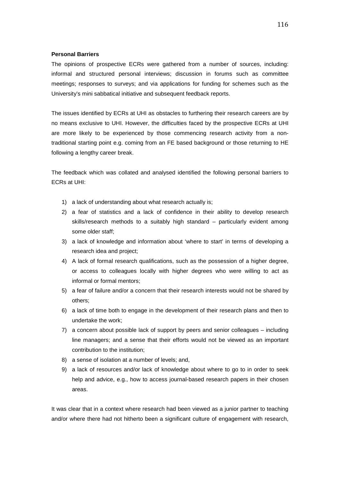#### **Personal Barriers**

The opinions of prospective ECRs were gathered from a number of sources, including: informal and structured personal interviews; discussion in forums such as committee meetings; responses to surveys; and via applications for funding for schemes such as the University's mini sabbatical initiative and subsequent feedback reports.

The issues identified by ECRs at UHI as obstacles to furthering their research careers are by no means exclusive to UHI. However, the difficulties faced by the prospective ECRs at UHI are more likely to be experienced by those commencing research activity from a nontraditional starting point e.g. coming from an FE based background or those returning to HE following a lengthy career break.

The feedback which was collated and analysed identified the following personal barriers to ECRs at UHI:

- 1) a lack of understanding about what research actually is;
- 2) a fear of statistics and a lack of confidence in their ability to develop research skills/research methods to a suitably high standard – particularly evident among some older staff;
- 3) a lack of knowledge and information about 'where to start' in terms of developing a research idea and project;
- 4) A lack of formal research qualifications, such as the possession of a higher degree, or access to colleagues locally with higher degrees who were willing to act as informal or formal mentors;
- 5) a fear of failure and/or a concern that their research interests would not be shared by others;
- 6) a lack of time both to engage in the development of their research plans and then to undertake the work;
- 7) a concern about possible lack of support by peers and senior colleagues including line managers; and a sense that their efforts would not be viewed as an important contribution to the institution;
- 8) a sense of isolation at a number of levels; and,
- 9) a lack of resources and/or lack of knowledge about where to go to in order to seek help and advice, e.g., how to access journal-based research papers in their chosen areas.

It was clear that in a context where research had been viewed as a junior partner to teaching and/or where there had not hitherto been a significant culture of engagement with research,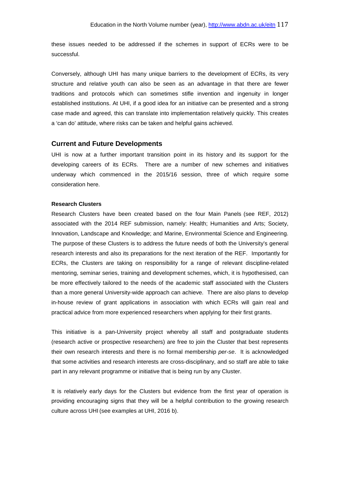these issues needed to be addressed if the schemes in support of ECRs were to be successful.

Conversely, although UHI has many unique barriers to the development of ECRs, its very structure and relative youth can also be seen as an advantage in that there are fewer traditions and protocols which can sometimes stifle invention and ingenuity in longer established institutions. At UHI, if a good idea for an initiative can be presented and a strong case made and agreed, this can translate into implementation relatively quickly. This creates a 'can do' attitude, where risks can be taken and helpful gains achieved.

#### **Current and Future Developments**

UHI is now at a further important transition point in its history and its support for the developing careers of its ECRs. There are a number of new schemes and initiatives underway which commenced in the 2015/16 session, three of which require some consideration here.

#### **Research Clusters**

Research Clusters have been created based on the four Main Panels (see REF, 2012) associated with the 2014 REF submission, namely: Health; Humanities and Arts; Society, Innovation, Landscape and Knowledge; and Marine, Environmental Science and Engineering. The purpose of these Clusters is to address the future needs of both the University's general research interests and also its preparations for the next iteration of the REF. Importantly for ECRs, the Clusters are taking on responsibility for a range of relevant discipline-related mentoring, seminar series, training and development schemes, which, it is hypothesised, can be more effectively tailored to the needs of the academic staff associated with the Clusters than a more general University-wide approach can achieve. There are also plans to develop in-house review of grant applications in association with which ECRs will gain real and practical advice from more experienced researchers when applying for their first grants.

This initiative is a pan-University project whereby all staff and postgraduate students (research active or prospective researchers) are free to join the Cluster that best represents their own research interests and there is no formal membership *per-se*. It is acknowledged that some activities and research interests are cross-disciplinary, and so staff are able to take part in any relevant programme or initiative that is being run by any Cluster.

It is relatively early days for the Clusters but evidence from the first year of operation is providing encouraging signs that they will be a helpful contribution to the growing research culture across UHI (see examples at UHI, 2016 b).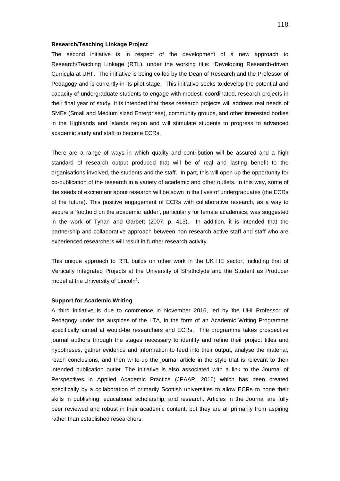#### **Research/Teaching Linkage Project**

The second initiative is in respect of the development of a new approach to Research/Teaching Linkage (RTL), under the working title: "Developing Research-driven Curricula at UHI'. The initiative is being co-led by the Dean of Research and the Professor of Pedagogy and is currently in its pilot stage. This initiative seeks to develop the potential and capacity of undergraduate students to engage with modest, coordinated, research projects in their final year of study. It is intended that these research projects will address real needs of SMEs (Small and Medium sized Enterprises), community groups, and other interested bodies in the Highlands and Islands region and will stimulate students to progress to advanced academic study and staff to become ECRs.

There are a range of ways in which quality and contribution will be assured and a high standard of research output produced that will be of real and lasting benefit to the organisations involved, the students and the staff. In part, this will open up the opportunity for co-publication of the research in a variety of academic and other outlets. In this way, some of the seeds of excitement about research will be sown in the lives of undergraduates (the ECRs of the future). This positive engagement of ECRs with collaborative research, as a way to secure a 'foothold on the academic ladder', particularly for female academics, was suggested in the work of Tynan and Garbett (2007, p. 413). In addition, it is intended that the partnership and collaborative approach between non research active staff and staff who are experienced researchers will result in further research activity.

This unique approach to RTL builds on other work in the UK HE sector, including that of Vertically Integrated Projects at the University of Strathclyde and the Student as Producer model at the University of Lincoln2.

#### **Support for Academic Writing**

A third initiative is due to commence in November 2016, led by the UHI Professor of Pedagogy under the auspices of the LTA, in the form of an Academic Writing Programme specifically aimed at would-be researchers and ECRs. The programme takes prospective journal authors through the stages necessary to identify and refine their project titles and hypotheses, gather evidence and information to feed into their output, analyse the material, reach conclusions, and then write-up the journal article in the style that is relevant to their intended publication outlet. The initiative is also associated with a link to the Journal of Perspectives in Applied Academic Practice (JPAAP, 2016) which has been created specifically by a collaboration of primarily Scottish universities to allow ECRs to hone their skills in publishing, educational scholarship, and research. Articles in the Journal are fully peer reviewed and robust in their academic content, but they are all primarily from aspiring rather than established researchers.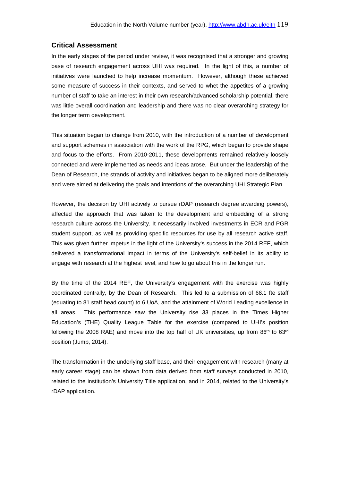# **Critical Assessment**

In the early stages of the period under review, it was recognised that a stronger and growing base of research engagement across UHI was required. In the light of this, a number of initiatives were launched to help increase momentum. However, although these achieved some measure of success in their contexts, and served to whet the appetites of a growing number of staff to take an interest in their own research/advanced scholarship potential, there was little overall coordination and leadership and there was no clear overarching strategy for the longer term development.

This situation began to change from 2010, with the introduction of a number of development and support schemes in association with the work of the RPG, which began to provide shape and focus to the efforts. From 2010-2011, these developments remained relatively loosely connected and were implemented as needs and ideas arose. But under the leadership of the Dean of Research, the strands of activity and initiatives began to be aligned more deliberately and were aimed at delivering the goals and intentions of the overarching UHI Strategic Plan.

However, the decision by UHI actively to pursue rDAP (research degree awarding powers), affected the approach that was taken to the development and embedding of a strong research culture across the University. It necessarily involved investments in ECR and PGR student support, as well as providing specific resources for use by all research active staff. This was given further impetus in the light of the University's success in the 2014 REF, which delivered a transformational impact in terms of the University's self-belief in its ability to engage with research at the highest level, and how to go about this in the longer run.

By the time of the 2014 REF, the University's engagement with the exercise was highly coordinated centrally, by the Dean of Research. This led to a submission of 68.1 fte staff (equating to 81 staff head count) to 6 UoA, and the attainment of World Leading excellence in all areas. This performance saw the University rise 33 places in the Times Higher Education's (THE) Quality League Table for the exercise (compared to UHI's position following the 2008 RAE) and move into the top half of UK universities, up from  $86<sup>th</sup>$  to  $63<sup>rd</sup>$ position (Jump, 2014).

The transformation in the underlying staff base, and their engagement with research (many at early career stage) can be shown from data derived from staff surveys conducted in 2010, related to the institution's University Title application, and in 2014, related to the University's rDAP application.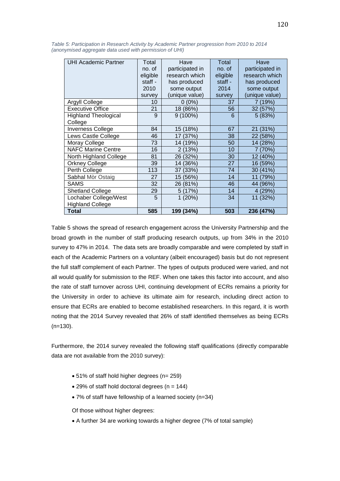| <b>UHI Academic Partner</b> | Total    | Have            | Total    | Have            |
|-----------------------------|----------|-----------------|----------|-----------------|
|                             | no. of   | participated in | no. of   | participated in |
|                             | eligible | research which  | eligible | research which  |
|                             | staff -  | has produced    | staff -  | has produced    |
|                             | 2010     | some output     | 2014     | some output     |
|                             | survey   | (unique value)  | survey   | (unique value)  |
| <b>Argyll College</b>       | 10       | $0(0\%)$        | 37       | 7 (19%)         |
| Executive Office            | 21       | 18 (86%)        | 56       | 32 (57%)        |
| <b>Highland Theological</b> | 9        | $9(100\%)$      | 6        | 5(83%)          |
| College                     |          |                 |          |                 |
| <b>Inverness College</b>    | 84       | 15 (18%)        | 67       | 21 (31%)        |
| Lews Castle College         | 46       | 17 (37%)        | 38       | 22 (58%)        |
| Moray College               | 73       | 14 (19%)        | 50       | 14 (28%)        |
| <b>NAFC Marine Centre</b>   | 16       | 2(13%)          | 10       | 7 (70%)         |
| North Highland College      | 81       | 26 (32%)        | 30       | 12 (40%)        |
| <b>Orkney College</b>       | 39       | 14 (36%)        | 27       | 16 (59%)        |
| Perth College               | 113      | 37 (33%)        | 74       | 30 (41%)        |
| Sabhal Mòr Ostaig           | 27       | 15 (56%)        | 14       | 11 (79%)        |
| <b>SAMS</b>                 | 32       | 26 (81%)        | 46       | 44 (96%)        |
| <b>Shetland College</b>     | 29       | 5 (17%)         | 14       | 4 (29%)         |
| Lochaber College/West       | 5        | 1(20%)          | 34       | 11 (32%)        |
| <b>Highland College</b>     |          |                 |          |                 |
| <b>Total</b>                | 585      | 199 (34%)       | 503      | 236 (47%)       |

*Table 5: Participation in Research Activity by Academic Partner progression from 2010 to 2014 (anonymised aggregate data used with permission of UHI)*

Table 5 shows the spread of research engagement across the University Partnership and the broad growth in the number of staff producing research outputs, up from 34% in the 2010 survey to 47% in 2014. The data sets are broadly comparable and were completed by staff in each of the Academic Partners on a voluntary (albeit encouraged) basis but do not represent the full staff complement of each Partner. The types of outputs produced were varied, and not all would qualify for submission to the REF. When one takes this factor into account, and also the rate of staff turnover across UHI, continuing development of ECRs remains a priority for the University in order to achieve its ultimate aim for research, including direct action to ensure that ECRs are enabled to become established researchers. In this regard, it is worth noting that the 2014 Survey revealed that 26% of staff identified themselves as being ECRs (n=130).

Furthermore, the 2014 survey revealed the following staff qualifications (directly comparable data are not available from the 2010 survey):

- 51% of staff hold higher degrees (n= 259)
- $\bullet$  29% of staff hold doctoral degrees (n = 144)
- 7% of staff have fellowship of a learned society (n=34)

Of those without higher degrees:

• A further 34 are working towards a higher degree (7% of total sample)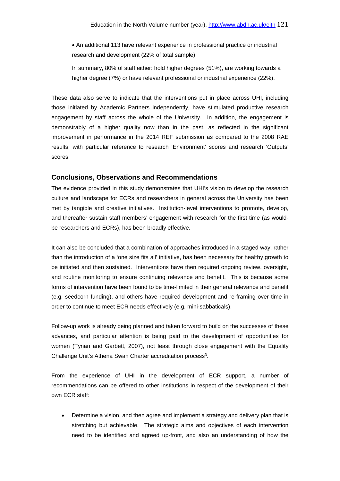• An additional 113 have relevant experience in professional practice or industrial research and development (22% of total sample).

In summary, 80% of staff either: hold higher degrees (51%), are working towards a higher degree (7%) or have relevant professional or industrial experience (22%).

These data also serve to indicate that the interventions put in place across UHI, including those initiated by Academic Partners independently, have stimulated productive research engagement by staff across the whole of the University. In addition, the engagement is demonstrably of a higher quality now than in the past, as reflected in the significant improvement in performance in the 2014 REF submission as compared to the 2008 RAE results, with particular reference to research 'Environment' scores and research 'Outputs' scores.

# **Conclusions, Observations and Recommendations**

The evidence provided in this study demonstrates that UHI's vision to develop the research culture and landscape for ECRs and researchers in general across the University has been met by tangible and creative initiatives. Institution-level interventions to promote, develop, and thereafter sustain staff members' engagement with research for the first time (as wouldbe researchers and ECRs), has been broadly effective.

It can also be concluded that a combination of approaches introduced in a staged way, rather than the introduction of a 'one size fits all' initiative, has been necessary for healthy growth to be initiated and then sustained. Interventions have then required ongoing review, oversight, and routine monitoring to ensure continuing relevance and benefit. This is because some forms of intervention have been found to be time-limited in their general relevance and benefit (e.g. seedcorn funding), and others have required development and re-framing over time in order to continue to meet ECR needs effectively (e.g. mini-sabbaticals).

Follow-up work is already being planned and taken forward to build on the successes of these advances, and particular attention is being paid to the development of opportunities for women (Tynan and Garbett, 2007), not least through close engagement with the Equality Challenge Unit's Athena Swan Charter accreditation process<sup>3</sup>.

From the experience of UHI in the development of ECR support, a number of recommendations can be offered to other institutions in respect of the development of their own ECR staff:

• Determine a vision, and then agree and implement a strategy and delivery plan that is stretching but achievable. The strategic aims and objectives of each intervention need to be identified and agreed up-front, and also an understanding of how the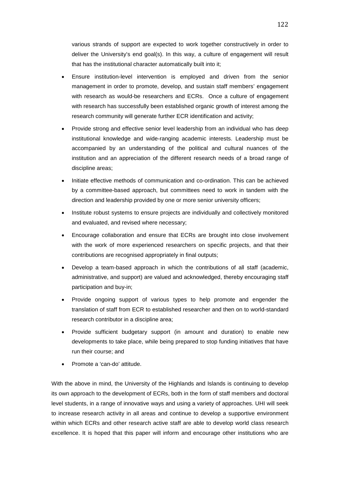various strands of support are expected to work together constructively in order to deliver the University's end goal(s). In this way, a culture of engagement will result that has the institutional character automatically built into it;

- Ensure institution-level intervention is employed and driven from the senior management in order to promote, develop, and sustain staff members' engagement with research as would-be researchers and ECRs. Once a culture of engagement with research has successfully been established organic growth of interest among the research community will generate further ECR identification and activity;
- Provide strong and effective senior level leadership from an individual who has deep institutional knowledge and wide-ranging academic interests. Leadership must be accompanied by an understanding of the political and cultural nuances of the institution and an appreciation of the different research needs of a broad range of discipline areas;
- Initiate effective methods of communication and co-ordination. This can be achieved by a committee-based approach, but committees need to work in tandem with the direction and leadership provided by one or more senior university officers;
- Institute robust systems to ensure projects are individually and collectively monitored and evaluated, and revised where necessary;
- Encourage collaboration and ensure that ECRs are brought into close involvement with the work of more experienced researchers on specific projects, and that their contributions are recognised appropriately in final outputs;
- Develop a team-based approach in which the contributions of all staff (academic, administrative, and support) are valued and acknowledged, thereby encouraging staff participation and buy-in;
- Provide ongoing support of various types to help promote and engender the translation of staff from ECR to established researcher and then on to world-standard research contributor in a discipline area;
- Provide sufficient budgetary support (in amount and duration) to enable new developments to take place, while being prepared to stop funding initiatives that have run their course; and
- Promote a 'can-do' attitude.

With the above in mind, the University of the Highlands and Islands is continuing to develop its own approach to the development of ECRs, both in the form of staff members and doctoral level students, in a range of innovative ways and using a variety of approaches. UHI will seek to increase research activity in all areas and continue to develop a supportive environment within which ECRs and other research active staff are able to develop world class research excellence. It is hoped that this paper will inform and encourage other institutions who are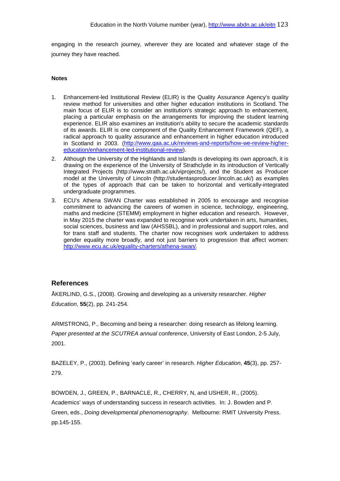engaging in the research journey, wherever they are located and whatever stage of the journey they have reached.

# **Notes**

- 1. Enhancement-led Institutional Review (ELIR) is the Quality Assurance Agency's quality review method for universities and other higher education institutions in Scotland. The main focus of ELIR is to consider an institution's strategic approach to enhancement, placing a particular emphasis on the arrangements for improving the student learning experience. ELIR also examines an institution's ability to secure the academic standards of its awards. ELIR is one component of the Quality Enhancement Framework (QEF), a radical approach to quality assurance and enhancement in higher education introduced in Scotland in 2003. [\(http://www.qaa.ac.uk/reviews-and-reports/how-we-review-higher](http://www.qaa.ac.uk/reviews-and-reports/how-we-review-higher-education/enhancement-led-institutional-review)[education/enhancement-led-institutional-review\)](http://www.qaa.ac.uk/reviews-and-reports/how-we-review-higher-education/enhancement-led-institutional-review).
- 2. Although the University of the Highlands and Islands is developing its own approach, it is drawing on the experience of the University of Strathclyde in its introduction of Vertically Integrated Projects [\(http://www.strath.ac.uk/viprojects/\)](http://www.strath.ac.uk/viprojects/), and the Student as Producer model at the University of Lincoln [\(http://studentasproducer.lincoln.ac.uk/\)](http://studentasproducer.lincoln.ac.uk/) as examples of the types of approach that can be taken to horizontal and vertically-integrated undergraduate programmes.
- 3. ECU's Athena SWAN Charter was established in 2005 to encourage and recognise commitment to advancing the careers of women in science, technology, engineering, maths and medicine (STEMM) employment in higher education and research. However, in May 2015 the charter was expanded to recognise work undertaken in arts, humanities, social sciences, business and law (AHSSBL), and in professional and support roles, and for trans staff and students. The charter now recognises work undertaken to address gender equality more broadly, and not just barriers to progression that affect women: [http://www.ecu.ac.uk/equality-charters/athena-swan/.](http://www.ecu.ac.uk/equality-charters/athena-swan/)

# **References**

ÅKERLIND, G.S., (2008). Growing and developing as a university researcher. *Higher Education*, **55**(2), pp. 241-254.

ARMSTRONG, P., Becoming and being a researcher: doing research as lifelong learning. *Paper presented at the SCUTREA annual conference*, University of East London, 2-5 July, 2001.

BAZELEY, P., (2003). Defining 'early career' in research. *Higher Education*, **45**(3), pp. 257- 279.

BOWDEN, J., GREEN, P., BARNACLE, R., CHERRY, N, and USHER, R., (2005). Academics' ways of understanding success in research activities. In: J. Bowden and P. Green, eds., *Doing developmental phenomenography*. Melbourne: RMIT University Press. pp.145-155.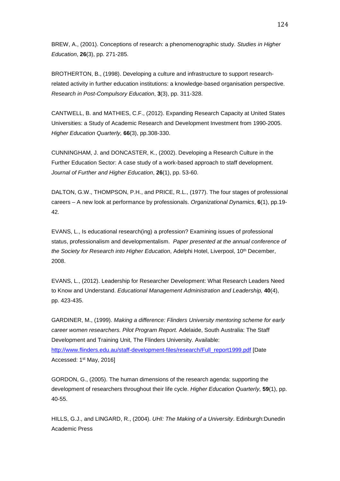BREW, A., (2001). Conceptions of research: a phenomenographic study. *Studies in Higher Education*, **26**(3), pp. 271-285.

BROTHERTON, B., (1998). Developing a culture and infrastructure to support researchrelated activity in further education institutions: a knowledge-based organisation perspective. *Research in Post-Compulsory Education*, **3**(3), pp. 311-328.

CANTWELL, B. and MATHIES, C.F., (2012). Expanding Research Capacity at United States Universities: a Study of Academic Research and Development Investment from 1990-2005. *Higher Education Quarterly,* **66**(3), pp.308-330.

CUNNINGHAM, J. and DONCASTER, K., (2002). Developing a Research Culture in the Further Education Sector: A case study of a work-based approach to staff development. *Journal of Further and Higher Education*, **26**(1), pp. 53-60.

DALTON, G.W., THOMPSON, P.H., and PRICE, R.L., (1977). The four stages of professional careers – A new look at performance by professionals. *Organizational Dynamics*, **6**(1), pp.19- 42.

EVANS, L., Is educational research(ing) a profession? Examining issues of professional status, professionalism and developmentalism. *Paper presented at the annual conference of the Society for Research into Higher Education*, Adelphi Hotel, Liverpool, 10th December, 2008.

EVANS, L., (2012). Leadership for Researcher Development: What Research Leaders Need to Know and Understand. *Educational Management Administration and Leadership,* **40**(4), pp. 423-435.

GARDINER, M., (1999). *Making a difference: Flinders University mentoring scheme for early career women researchers. Pilot Program Report.* Adelaide, South Australia: The Staff Development and Training Unit, The Flinders University. Available: [http://www.flinders.edu.au/staff-development-files/research/Full\\_report1999.pdf](http://www.flinders.edu.au/staff-development-files/research/Full_report1999.pdf) [Date Accessed: 1st May, 2016]

GORDON, G., (2005). The human dimensions of the research agenda: supporting the development of researchers throughout their life cycle. *Higher Education Quarterly,* **59**(1), pp. 40-55.

HILLS, G.J., and LINGARD, R., (2004). *UHI: The Making of a University*. Edinburgh:Dunedin Academic Press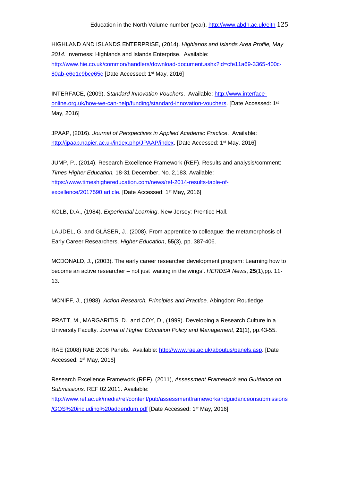HIGHLAND AND ISLANDS ENTERPRISE, (2014). *Highlands and Islands Area Profile, May 2014.* Inverness: Highlands and Islands Enterprise. Available: [http://www.hie.co.uk/common/handlers/download-document.ashx?id=cfe11a69-3365-400c-](http://www.hie.co.uk/common/handlers/download-document.ashx?id=cfe11a69-3365-400c-80ab-e6e1c9bce65c)[80ab-e6e1c9bce65c](http://www.hie.co.uk/common/handlers/download-document.ashx?id=cfe11a69-3365-400c-80ab-e6e1c9bce65c) [Date Accessed: 1st May, 2016]

INTERFACE, (2009). *Standard Innovation Vouchers*. Available: [http://www.interface](http://www.interface-online.org.uk/how-we-can-help/funding/standard-innovation-vouchers)[online.org.uk/how-we-can-help/funding/standard-innovation-vouchers.](http://www.interface-online.org.uk/how-we-can-help/funding/standard-innovation-vouchers) [Date Accessed: 1st May, 2016]

JPAAP, (2016). *Journal of Perspectives in Applied Academic Practice*. Available: [http://jpaap.napier.ac.uk/index.php/JPAAP/index.](http://jpaap.napier.ac.uk/index.php/JPAAP/index) [Date Accessed: 1<sup>st</sup> May, 2016]

JUMP, P., (2014). Research Excellence Framework (REF). Results and analysis/comment: *Times Higher Education,* 18-31 December, No. 2,183. Available: [https://www.timeshighereducation.com/news/ref-2014-results-table-of](https://www.timeshighereducation.com/news/ref-2014-results-table-of-excellence/2017590.article)[excellence/2017590.article.](https://www.timeshighereducation.com/news/ref-2014-results-table-of-excellence/2017590.article) [Date Accessed: 1<sup>st</sup> May, 2016]

KOLB, D.A., (1984). *Experiential Learning*. New Jersey: Prentice Hall.

LAUDEL, G. and GLÄSER, J., (2008). From apprentice to colleague: the metamorphosis of Early Career Researchers. *Higher Education*, **55**(3), pp. 387-406.

MCDONALD, J., (2003). The early career researcher development program: Learning how to become an active researcher – not just 'waiting in the wings'. *HERDSA News*, **25**(1),pp. 11- 13.

MCNIFF, J., (1988). *Action Research, Principles and Practice*. Abingdon: Routledge

PRATT, M., MARGARITIS, D., and COY, D., (1999). Developing a Research Culture in a University Faculty. *Journal of Higher Education Policy and Management*, **21**(1), pp.43-55.

RAE (2008) RAE 2008 Panels. Available: [http://www.rae.ac.uk/aboutus/panels.asp.](http://www.rae.ac.uk/aboutus/panels.as#p) [Date Accessed: 1st May, 2016]

Research Excellence Framework (REF). (2011), *Assessment Framework and Guidance on Submissions.* REF 02.2011. Available:

[http://www.ref.ac.uk/media/ref/content/pub/assessmentframeworkandguidanceonsubmissions](http://www.ref.ac.uk/media/ref/content/pub/assessmentframeworkandguidanceonsubmissions/GOS%20including%20addendum.pdf) [/GOS%20including%20addendum.pdf](http://www.ref.ac.uk/media/ref/content/pub/assessmentframeworkandguidanceonsubmissions/GOS%20including%20addendum.pdf) [Date Accessed: 1st May, 2016]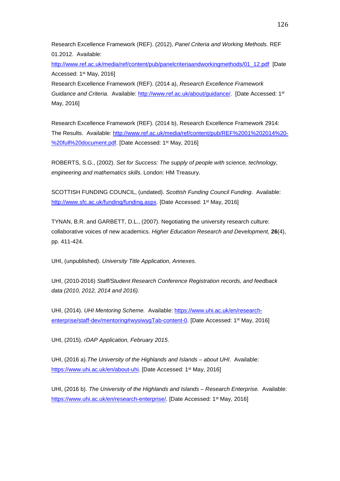Research Excellence Framework (REF). (2012), *Panel Criteria and Working Methods.* REF 01.2012. Available:

[http://www.ref.ac.uk/media/ref/content/pub/panelcriteriaandworkingmethods/01\\_12.pdf](http://www.ref.ac.uk/media/ref/content/pub/panelcriteriaandworkingmethods/01_12.pdf) [Date Accessed: 1st May, 2016]

Research Excellence Framework (REF). (2014 a), *Research Excellence Framework Guidance and Criteria.* Available: [http://www.ref.ac.uk/about/guidance/.](http://www.ref.ac.uk/about/guidance/) [Date Accessed: 1<sup>st</sup> May, 2016]

Research Excellence Framework (REF). (2014 b), Research Excellence Framework 2914: The Results. Available: [http://www.ref.ac.uk/media/ref/content/pub/REF%2001%202014%20-](http://www.ref.ac.uk/media/ref/content/pub/REF%2001%202014%20-%20full%20document.pdf) [%20full%20document.pdf.](http://www.ref.ac.uk/media/ref/content/pub/REF%2001%202014%20-%20full%20document.pdf) [Date Accessed: 1<sup>st</sup> May, 2016]

ROBERTS, S.G., (2002). *Set for Success: The supply of people with science, technology, engineering and mathematics skills.* London: HM Treasury.

SCOTTISH FUNDING COUNCIL, (undated). *Scottish Funding Council Funding*. Available: [http://www.sfc.ac.uk/funding/funding.aspx.](http://www.sfc.ac.uk/funding/funding.aspx) [Date Accessed: 1<sup>st</sup> May, 2016]

TYNAN, B.R. and GARBETT, D.L., (2007). Negotiating the university research culture: collaborative voices of new academics. *Higher Education Research and Development,* **26**(4), pp. 411-424.

UHI, (unpublished). *University Title Application, Annexes.*

UHI, (2010-2016) *Staff/Student Research Conference Registration records, and feedback data (2010, 2012, 2014 and 2016).*

UHI, (2014). *UHI Mentoring Scheme.* Available: [https://www.uhi.ac.uk/en/research](https://www.uhi.ac.uk/en/research-enterprise/staff-dev/mentoring#wysiwygTab-content-0)[enterprise/staff-dev/mentoring#wysiwygTab-content-0.](https://www.uhi.ac.uk/en/research-enterprise/staff-dev/mentoring#wysiwygTab-content-0) [Date Accessed: 1<sup>st</sup> May, 2016]

UHI, (2015). *rDAP Application, February 2015*.

UHI, (2016 a).*The University of the Highlands and Islands – about UHI*. Available: [https://www.uhi.ac.uk/en/about-uhi.](https://www.uhi.ac.uk/en/about-uhi) [Date Accessed: 1<sup>st</sup> May, 2016]

UHI, (2016 b). *The University of the Highlands and Islands – Research Enterprise.* Available: [https://www.uhi.ac.uk/en/research-enterprise/.](https://www.uhi.ac.uk/en/research-enterprise/) [Date Accessed: 1<sup>st</sup> May, 2016]